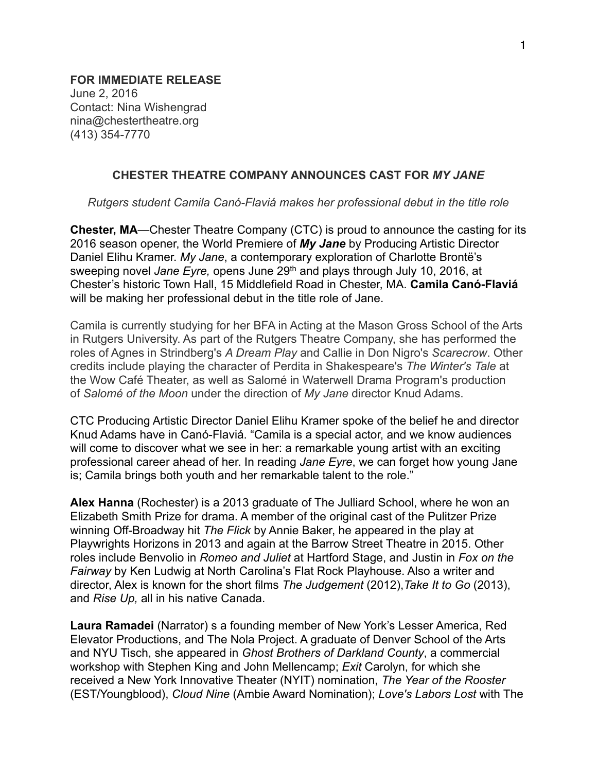**FOR IMMEDIATE RELEASE**  June 2, 2016 Contact: Nina Wishengrad nina@chestertheatre.org (413) 354-7770

## **CHESTER THEATRE COMPANY ANNOUNCES CAST FOR** *MY JANE*

*Rutgers student Camila Canó-Flaviá makes her professional debut in the title role*

**Chester, MA**—Chester Theatre Company (CTC) is proud to announce the casting for its 2016 season opener, the World Premiere of *My Jane* by Producing Artistic Director Daniel Elihu Kramer. *My Jane*, a contemporary exploration of Charlotte Brontë's sweeping novel *Jane Eyre*, opens June 29<sup>th</sup> and plays through July 10, 2016, at Chester's historic Town Hall, 15 Middlefield Road in Chester, MA. **Camila Canó-Flaviá** will be making her professional debut in the title role of Jane.

Camila is currently studying for her BFA in Acting at the Mason Gross School of the Arts in Rutgers University. As part of the Rutgers Theatre Company, she has performed the roles of Agnes in Strindberg's *A Dream Play* and Callie in Don Nigro's *Scarecrow*. Other credits include playing the character of Perdita in Shakespeare's *The Winter's Tale* at the Wow Café Theater, as well as Salomé in Waterwell Drama Program's production of *Salomé of the Moon* under the direction of *My Jane* director Knud Adams.

CTC Producing Artistic Director Daniel Elihu Kramer spoke of the belief he and director Knud Adams have in Canó-Flaviá. "Camila is a special actor, and we know audiences will come to discover what we see in her: a remarkable young artist with an exciting professional career ahead of her. In reading *Jane Eyre*, we can forget how young Jane is; Camila brings both youth and her remarkable talent to the role."

**Alex Hanna** (Rochester) is a 2013 graduate of The Julliard School, where he won an Elizabeth Smith Prize for drama. A member of the original cast of the Pulitzer Prize winning Off-Broadway hit *The Flick* by Annie Baker, he appeared in the play at Playwrights Horizons in 2013 and again at the Barrow Street Theatre in 2015. Other roles include Benvolio in *Romeo and Juliet* at Hartford Stage, and Justin in *Fox on the Fairway* by Ken Ludwig at North Carolina's Flat Rock Playhouse. Also a writer and director, Alex is known for the short films *The Judgement* (2012),*Take It to Go* (2013), and *[Rise Up](http://www.imdb.com/title/tt1933950?ref_=nmbio_mbio),* all in his native Canada.

**Laura Ramadei** (Narrator) s a founding member of New York's Lesser America, Red Elevator Productions, and The Nola Project. A graduate of Denver School of the Arts and NYU Tisch, she appeared in *Ghost Brothers of Darkland County*, a commercial workshop with Stephen King and John Mellencamp; *Exit* Carolyn, for which she received a New York Innovative Theater (NYIT) nomination, *The Year of the Rooster*  (EST/Youngblood), *Cloud Nine* (Ambie Award Nomination); *Love's Labors Lost* with The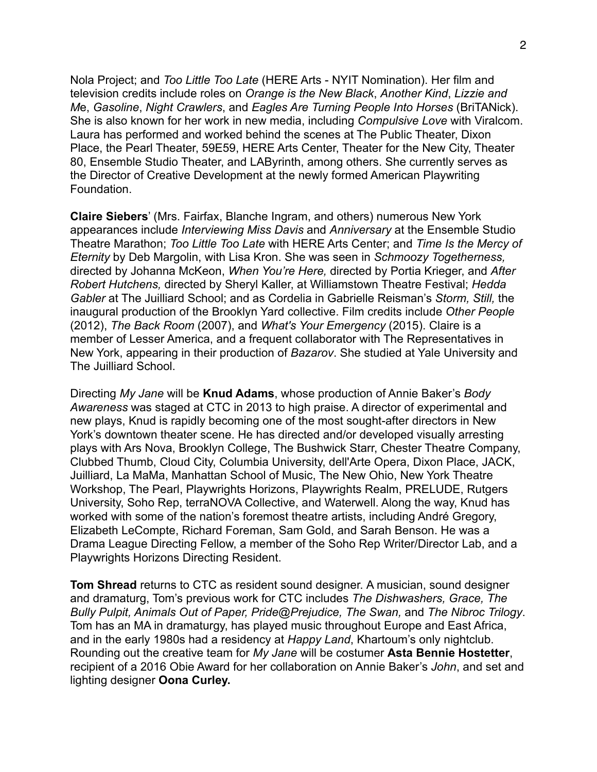Nola Project; and *Too Little Too Late* (HERE Arts - NYIT Nomination). Her film and television credits include roles on *Orange is the New Black*, *Another Kind*, *Lizzie and M*e, *Gasoline*, *Night Crawlers*, and *Eagles Are Turning People Into Horses* (BriTANick). She is also known for her work in new media, including *Compulsive Love* with Viralcom. Laura has performed and worked behind the scenes at The Public Theater, Dixon Place, the Pearl Theater, 59E59, HERE Arts Center, Theater for the New City, Theater 80, Ensemble Studio Theater, and LAByrinth, among others. She currently serves as the Director of Creative Development at the newly formed American Playwriting Foundation.

**Claire Siebers**' (Mrs. Fairfax, Blanche Ingram, and others) numerous New York appearances include *Interviewing Miss Davis* and *Anniversary* at the Ensemble Studio Theatre Marathon; *Too Little Too Late* with HERE Arts Center; and *Time Is the Mercy of Eternity* by Deb Margolin, with Lisa Kron. She was seen in *Schmoozy Togetherness,*  directed by Johanna McKeon, *When You're Here,* directed by Portia Krieger, and *After Robert Hutchens,* directed by Sheryl Kaller, at Williamstown Theatre Festival; *Hedda Gabler* at The Juilliard School; and as Cordelia in Gabrielle Reisman's *Storm, Still,* the inaugural production of the Brooklyn Yard collective. Film credits include *Other People* (2012), *The Back Room* (2007), and *What's Your Emergency* (2015). Claire is a member of Lesser America, and a frequent collaborator with The Representatives in New York, appearing in their production of *Bazarov*. She studied at Yale University and The Juilliard School.

Directing *My Jane* will be **Knud Adams**, whose production of Annie Baker's *Body Awareness* was staged at CTC in 2013 to high praise. A director of experimental and new plays, Knud is rapidly becoming one of the most sought-after directors in New York's downtown theater scene. He has directed and/or developed visually arresting plays with Ars Nova, Brooklyn College, The Bushwick Starr, Chester Theatre Company, Clubbed Thumb, Cloud City, Columbia University, dell'Arte Opera, Dixon Place, JACK, Juilliard, La MaMa, Manhattan School of Music, The New Ohio, New York Theatre Workshop, The Pearl, Playwrights Horizons, Playwrights Realm, PRELUDE, Rutgers University, Soho Rep, terraNOVA Collective, and Waterwell. Along the way, Knud has worked with some of the nation's foremost theatre artists, including André Gregory, Elizabeth LeCompte, Richard Foreman, Sam Gold, and Sarah Benson. He was a Drama League Directing Fellow, a member of the Soho Rep Writer/Director Lab, and a Playwrights Horizons Directing Resident.

**Tom Shread** returns to CTC as resident sound designer. A musician, sound designer and dramaturg, Tom's previous work for CTC includes *The Dishwashers, Grace, The Bully Pulpit, Animals Out of Paper, Pride@Prejudice, The Swan,* and *The Nibroc Trilogy*. Tom has an MA in dramaturgy, has played music throughout Europe and East Africa, and in the early 1980s had a residency at *Happy Land*, Khartoum's only nightclub. Rounding out the creative team for *My Jane* will be costumer **Asta Bennie Hostetter**, recipient of a 2016 Obie Award for her collaboration on Annie Baker's *John*, and set and lighting designer **Oona Curley.**